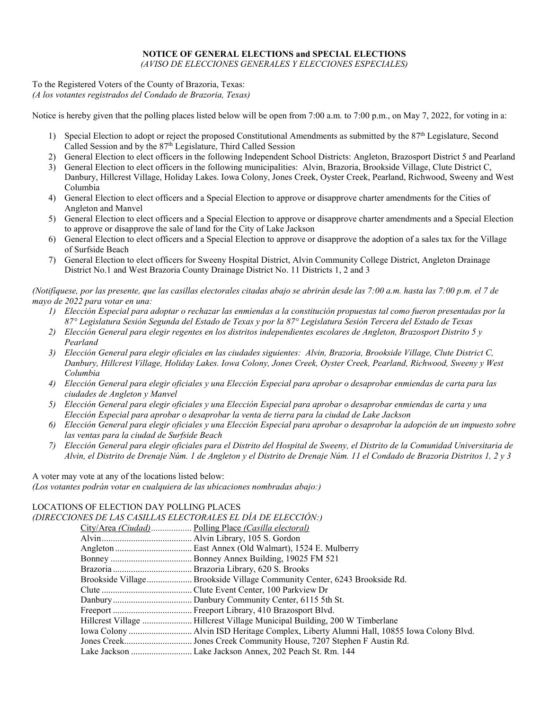## **NOTICE OF GENERAL ELECTIONS and SPECIAL ELECTIONS**

*(AVISO DE ELECCIONES GENERALES Y ELECCIONES ESPECIALES)*

To the Registered Voters of the County of Brazoria, Texas: *(A los votantes registrados del Condado de Brazoria, Texas)*

Notice is hereby given that the polling places listed below will be open from 7:00 a.m. to 7:00 p.m., on May 7, 2022, for voting in a:

- 1) Special Election to adopt or reject the proposed Constitutional Amendments as submitted by the  $87<sup>th</sup>$  Legislature, Second Called Session and by the 87<sup>th</sup> Legislature, Third Called Session
- 2) General Election to elect officers in the following Independent School Districts: Angleton, Brazosport District 5 and Pearland
- 3) General Election to elect officers in the following municipalities: Alvin, Brazoria, Brookside Village, Clute District C, Danbury, Hillcrest Village, Holiday Lakes. Iowa Colony, Jones Creek, Oyster Creek, Pearland, Richwood, Sweeny and West Columbia
- 4) General Election to elect officers and a Special Election to approve or disapprove charter amendments for the Cities of Angleton and Manvel
- 5) General Election to elect officers and a Special Election to approve or disapprove charter amendments and a Special Election to approve or disapprove the sale of land for the City of Lake Jackson
- 6) General Election to elect officers and a Special Election to approve or disapprove the adoption of a sales tax for the Village of Surfside Beach
- 7) General Election to elect officers for Sweeny Hospital District, Alvin Community College District, Angleton Drainage District No.1 and West Brazoria County Drainage District No. 11 Districts 1, 2 and 3

*(Notifíquese, por las presente, que las casillas electorales citadas abajo se abrirán desde las 7:00 a.m. hasta las 7:00 p.m. el 7 de mayo de 2022 para votar en una:*

- *1) Elección Especial para adoptar o rechazar las enmiendas a la constitución propuestas tal como fueron presentadas por la 87° Legislatura Sesión Segunda del Estado de Texas y por la 87° Legislatura Sesión Tercera del Estado de Texas*
- *2) Elección General para elegir regentes en los distritos independientes escolares de Angleton, Brazosport Distrito 5 y Pearland*
- *3) Elección General para elegir oficiales en las ciudades siguientes: Alvin, Brazoria, Brookside Village, Clute District C, Danbury, Hillcrest Village, Holiday Lakes. Iowa Colony, Jones Creek, Oyster Creek, Pearland, Richwood, Sweeny y West Columbia*
- *4) Elección General para elegir oficiales y una Elección Especial para aprobar o desaprobar enmiendas de carta para las ciudades de Angleton y Manvel*
- *5) Elección General para elegir oficiales y una Elección Especial para aprobar o desaprobar enmiendas de carta y una Elección Especial para aprobar o desaprobar la venta de tierra para la ciudad de Lake Jackson*
- *6) Elección General para elegir oficiales y una Elección Especial para aprobar o desaprobar la adopción de un impuesto sobre las ventas para la ciudad de Surfside Beach*
- *7) Elección General para elegir oficiales para el Distrito del Hospital de Sweeny, el Distrito de la Comunidad Universitaria de Alvin, el Distrito de Drenaje Núm. 1 de Angleton y el Distrito de Drenaje Núm. 11 el Condado de Brazoria Distritos 1, 2 y 3*

A voter may vote at any of the locations listed below: *(Los votantes podrán votar en cualquiera de las ubicaciones nombradas abajo:)*

## LOCATIONS OF ELECTION DAY POLLING PLACES *(DIRECCIONES DE LAS CASILLAS ELECTORALES EL DÍA DE ELECCIÓN:)*

| TES DE EAS CASILEAS ELECTORALES EL DIA DE ELECCIÓN, J                                 |
|---------------------------------------------------------------------------------------|
| City/Area (Ciudad) Polling Place (Casilla electoral)                                  |
|                                                                                       |
|                                                                                       |
|                                                                                       |
|                                                                                       |
| Brookside Village Brookside Village Community Center, 6243 Brookside Rd.              |
|                                                                                       |
|                                                                                       |
|                                                                                       |
| Hillcrest Village  Hillcrest Village Municipal Building, 200 W Timberlane             |
| lowa Colony  Alvin ISD Heritage Complex, Liberty Alumni Hall, 10855 Iowa Colony Blvd. |
|                                                                                       |
| Lake Jackson  Lake Jackson Annex, 202 Peach St. Rm. 144                               |
|                                                                                       |